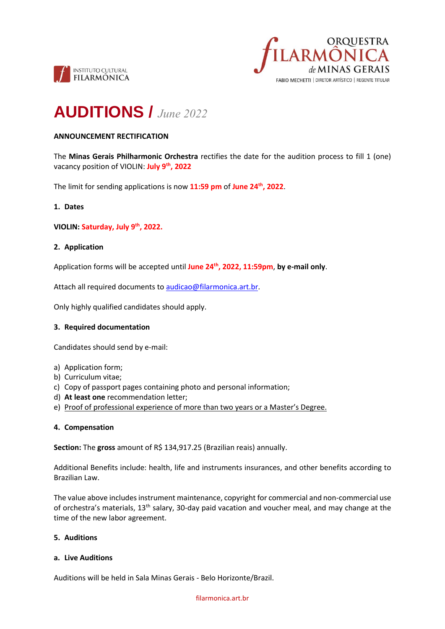



# **AUDITIONS /** *June 2022*

# **ANNOUNCEMENT RECTIFICATION**

The **Minas Gerais Philharmonic Orchestra** rectifies the date for the audition process to fill 1 (one) vacancy position of VIOLIN: **July 9th, 2022**

The limit for sending applications is now **11:59 pm** of **June 24th , 2022**.

## **1. Dates**

**VIOLIN: Saturday, July 9th, 2022.**

## **2. Application**

Application forms will be accepted until **June 24th , 2022, 11:59pm**, **by e-mail only**.

Attach all required documents to [audicao@filarmonica.art.br.](mailto:audicao@filarmonica.art.br)

Only highly qualified candidates should apply.

#### **3. Required documentation**

Candidates should send by e-mail:

- a) Application form;
- b) Curriculum vitae;
- c) Copy of passport pages containing photo and personal information;
- d) **At least one** recommendation letter;
- e) Proof of professional experience of more than two years or a Master's Degree.

#### **4. Compensation**

**Section:** The **gross** amount of R\$ 134,917.25 (Brazilian reais) annually.

Additional Benefits include: health, life and instruments insurances, and other benefits according to Brazilian Law.

The value above includes instrument maintenance, copyright for commercial and non-commercial use of orchestra's materials, 13th salary, 30-day paid vacation and voucher meal, and may change at the time of the new labor agreement.

# **5. Auditions**

#### **a. Live Auditions**

Auditions will be held in Sala Minas Gerais - Belo Horizonte/Brazil.